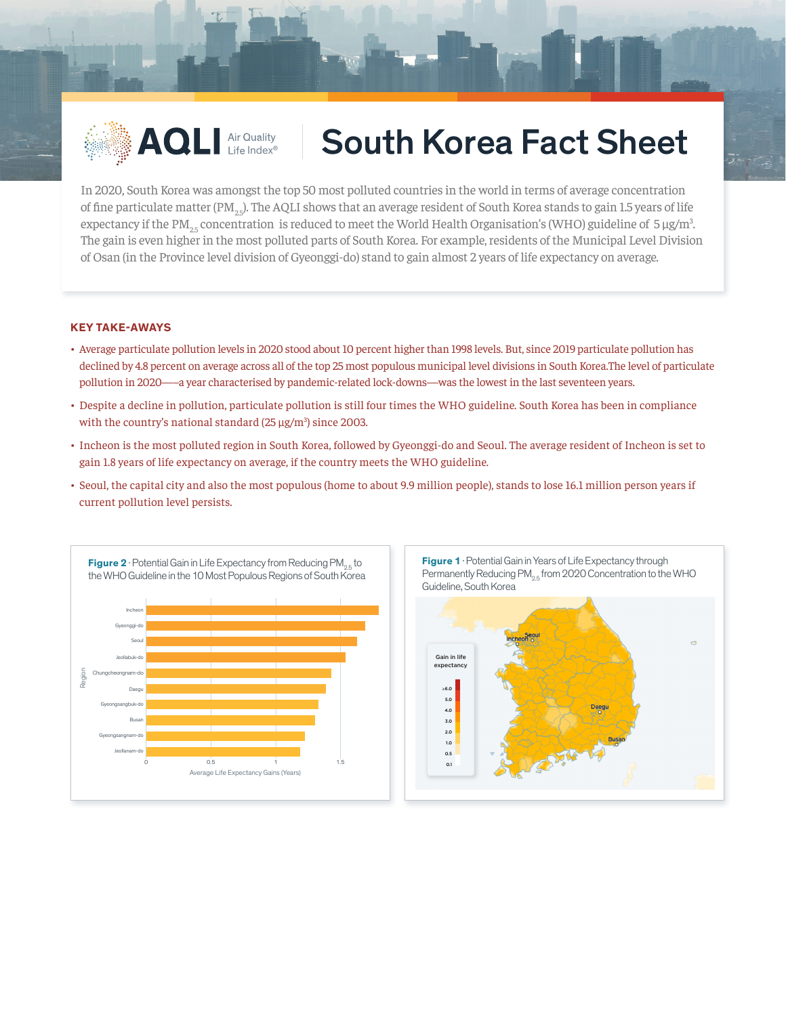

## AQLI Air Quality South Korea Fact Sheet

In 2020, South Korea was amongst the top 50 most polluted countries in the world in terms of average concentration of fine particulate matter (PM<sub>3</sub> $_2$ ). The AQLI shows that an average resident of South Korea stands to gain 1.5 years of life expectancy if the PM<sub>25</sub> concentration is reduced to meet the World Health Organisation's (WHO) guideline of 5 µg/m<sup>3</sup>. The gain is even higher in the most polluted parts of South Korea. For example, residents of the Municipal Level Division of Osan (in the Province level division of Gyeonggi-do) stand to gain almost 2 years of life expectancy on average.

## **KEY TAKE-AWAYS**

- Average particulate pollution levels in 2020 stood about 10 percent higher than 1998 levels. But, since 2019 particulate pollution has declined by 4.8 percent on average across all of the top 25 most populous municipal level divisions in South Korea.The level of particulate pollution in 2020—–a year characterised by pandemic-related lock-downs—was the lowest in the last seventeen years.
- Despite a decline in pollution, particulate pollution is still four times the WHO guideline. South Korea has been in compliance with the country's national standard  $(25 \,\mu g/m^3)$  since 2003.
- Incheon is the most polluted region in South Korea, followed by Gyeonggi-do and Seoul. The average resident of Incheon is set to gain 1.8 years of life expectancy on average, if the country meets the WHO guideline.
- Seoul, the capital city and also the most populous (home to about 9.9 million people), stands to lose 16.1 million person years if current pollution level persists.